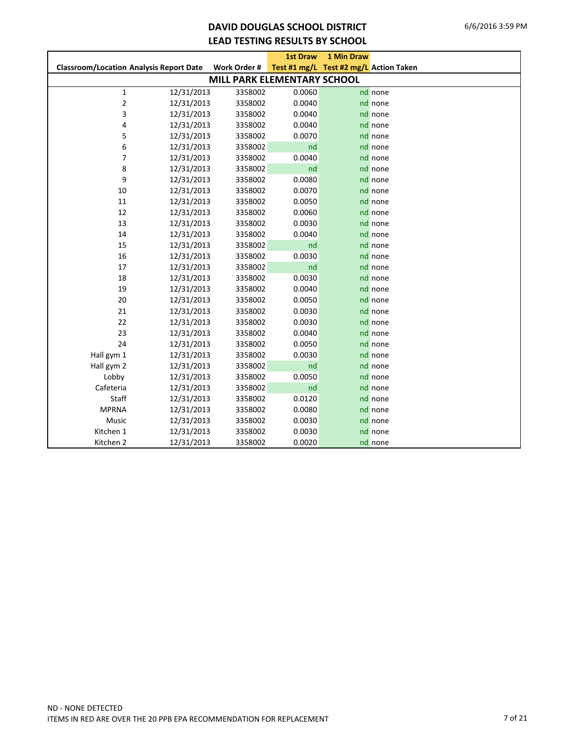### **DAVID DOUGLAS SCHOOL DISTRICT LEAD TESTING RESULTS BY SCHOOL**

|                                                |            |                                    | <b>1st Draw</b> | 1 Min Draw                             |         |
|------------------------------------------------|------------|------------------------------------|-----------------|----------------------------------------|---------|
| <b>Classroom/Location Analysis Report Date</b> |            | Work Order #                       |                 | Test #1 mg/L Test #2 mg/L Action Taken |         |
|                                                |            | <b>MILL PARK ELEMENTARY SCHOOL</b> |                 |                                        |         |
| $\mathbf 1$                                    | 12/31/2013 | 3358002                            | 0.0060          |                                        | nd none |
| $\overline{\mathbf{c}}$                        | 12/31/2013 | 3358002                            | 0.0040          |                                        | nd none |
| 3                                              | 12/31/2013 | 3358002                            | 0.0040          |                                        | nd none |
| 4                                              | 12/31/2013 | 3358002                            | 0.0040          |                                        | nd none |
| 5                                              | 12/31/2013 | 3358002                            | 0.0070          |                                        | nd none |
| 6                                              | 12/31/2013 | 3358002                            | nd              |                                        | nd none |
| 7                                              | 12/31/2013 | 3358002                            | 0.0040          |                                        | nd none |
| 8                                              | 12/31/2013 | 3358002                            | nd              |                                        | nd none |
| 9                                              | 12/31/2013 | 3358002                            | 0.0080          |                                        | nd none |
| $10\,$                                         | 12/31/2013 | 3358002                            | 0.0070          |                                        | nd none |
| 11                                             | 12/31/2013 | 3358002                            | 0.0050          |                                        | nd none |
| 12                                             | 12/31/2013 | 3358002                            | 0.0060          |                                        | nd none |
| 13                                             | 12/31/2013 | 3358002                            | 0.0030          |                                        | nd none |
| 14                                             | 12/31/2013 | 3358002                            | 0.0040          |                                        | nd none |
| 15                                             | 12/31/2013 | 3358002                            | nd              |                                        | nd none |
| 16                                             | 12/31/2013 | 3358002                            | 0.0030          |                                        | nd none |
| 17                                             | 12/31/2013 | 3358002                            | nd              |                                        | nd none |
| 18                                             | 12/31/2013 | 3358002                            | 0.0030          |                                        | nd none |
| 19                                             | 12/31/2013 | 3358002                            | 0.0040          |                                        | nd none |
| 20                                             | 12/31/2013 | 3358002                            | 0.0050          |                                        | nd none |
| 21                                             | 12/31/2013 | 3358002                            | 0.0030          |                                        | nd none |
| 22                                             | 12/31/2013 | 3358002                            | 0.0030          |                                        | nd none |
| 23                                             | 12/31/2013 | 3358002                            | 0.0040          |                                        | nd none |
| 24                                             | 12/31/2013 | 3358002                            | 0.0050          |                                        | nd none |
| Hall gym 1                                     | 12/31/2013 | 3358002                            | 0.0030          |                                        | nd none |
| Hall gym 2                                     | 12/31/2013 | 3358002                            | nd              |                                        | nd none |
| Lobby                                          | 12/31/2013 | 3358002                            | 0.0050          |                                        | nd none |
| Cafeteria                                      | 12/31/2013 | 3358002                            | nd              |                                        | nd none |
| Staff                                          | 12/31/2013 | 3358002                            | 0.0120          |                                        | nd none |
| <b>MPRNA</b>                                   | 12/31/2013 | 3358002                            | 0.0080          |                                        | nd none |
| Music                                          | 12/31/2013 | 3358002                            | 0.0030          |                                        | nd none |
| Kitchen 1                                      | 12/31/2013 | 3358002                            | 0.0030          |                                        | nd none |
| Kitchen 2                                      | 12/31/2013 | 3358002                            | 0.0020          |                                        | nd none |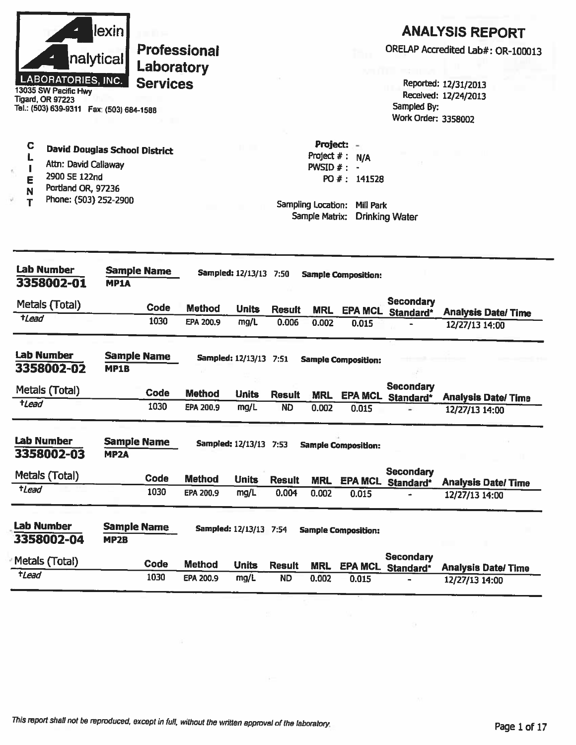|                                               | lexinl    |  |  |  |  |  |  |
|-----------------------------------------------|-----------|--|--|--|--|--|--|
|                                               | nalytical |  |  |  |  |  |  |
| <b>LABORATORIES, INC.</b><br>SW Pecific Lluss |           |  |  |  |  |  |  |

**Tigard, OR 97223** Tel.: (503) 639-9311 Fax: (503) 684-1588

#### $\mathbf C$ **David Douglas School District** L

- Attn: David Callaway  $\mathbf{I}$
- 2900 SE 122nd E
- Portland OR, 97236  $\mathbb N$
- Phone: (503) 252-2900 T

### **ANALYSIS REPORT**

ORELAP Accredited Lab#: OR-100013

Reported: 12/31/2013 Received: 12/24/2013 Sampled By: Work Order: 3358002

Project: -Project  $# : N/A$ PWSID  $#: -$ PO #: 141528

| Lab Number<br>3358002-01        | <b>Sample Name</b><br><b>MP1A</b>       |                  | Sampled: 12/13/13 7:50   |               |            | <b>Sample Composition:</b> |                               |                            |
|---------------------------------|-----------------------------------------|------------------|--------------------------|---------------|------------|----------------------------|-------------------------------|----------------------------|
| Metals (Total)                  | Code                                    | <b>Method</b>    | <b>Units</b>             | <b>Result</b> | <b>MRL</b> | <b>EPA MCL</b>             | <b>Secondary</b><br>Standard* | <b>Analysis Date/ Time</b> |
| $t$ Lead                        | 1030                                    | EPA 200.9        | mg/L                     | 0.006         | 0.002      | 0.015                      |                               | 12/27/13 14:00             |
| <b>Lab Number</b><br>3358002-02 | <b>Sample Name</b><br><b>MP1B</b>       |                  | <b>Sampled: 12/13/13</b> | 7:51          |            | <b>Sample Composition:</b> |                               |                            |
| Metals (Total)                  | Code                                    | <b>Method</b>    | <b>Units</b>             | <b>Result</b> | <b>MRL</b> | <b>EPA MCL</b>             | <b>Secondary</b><br>Standard* | <b>Analysis Date/Time</b>  |
| tLead                           | 1030                                    | EPA 200.9        | mg/L                     | <b>ND</b>     | 0.002      | 0.015                      |                               | 12/27/13 14:00             |
| <b>Lab Number</b><br>3358002-03 | <b>Sample Name</b><br><b>MP2A</b>       |                  | Sampled: 12/13/13 7:53   |               |            | <b>Sample Composition:</b> |                               |                            |
| Metals (Total)                  | Code                                    | <b>Method</b>    | <b>Units</b>             | <b>Result</b> | <b>MRL</b> | <b>EPA MCL</b>             | <b>Secondary</b><br>Standard* | <b>Analysis Date/Time</b>  |
| <i><b>tLead</b></i>             | 1030                                    | <b>EPA 200.9</b> | mg/L                     | 0.004         | 0.002      | 0.015                      |                               | 12/27/13 14:00             |
| <b>Lab Number</b><br>3358002-04 | <b>Sample Name</b><br>MP <sub>2</sub> B |                  | <b>Sampled: 12/13/13</b> | 7:54          |            | <b>Sample Composition:</b> |                               |                            |
| Metals (Total)                  | Code                                    | <b>Method</b>    | <b>Units</b>             | <b>Result</b> | <b>MRL</b> | <b>EPA MCL</b>             | Secondary<br>Standard*        | <b>Analysis Date/Time</b>  |
| <i>tLead</i>                    | 1030                                    | EPA 200.9        | mg/L                     | <b>ND</b>     | 0.002      | 0.015                      |                               | 12/27/13 14:00             |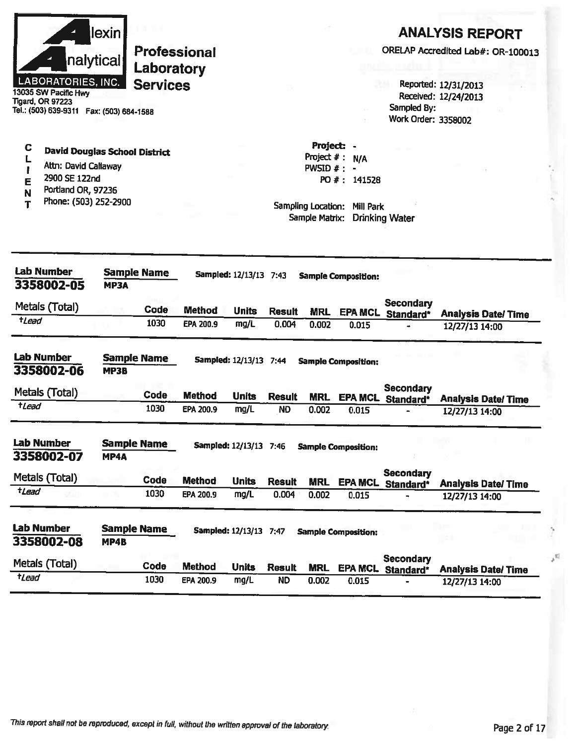|                  | nalytical <br>LABORATORIES, INC.<br>13035 SW Pacific Hwy<br><b>Tigard, OR 97223</b><br>Tel.: (503) 639-9311  Fax: (503) 684-1588 | lexin       | <b>Professional</b><br>Laboratory<br><b>Services</b> |               |                               |               |                                                                               |                                  | Sampled By:<br>Work Order: 3358002 | <b>ANALYSIS REPORT</b><br>ORELAP Accredited Lab#: OR-100013<br>Reported: 12/31/2013<br>Received: 12/24/2013 |
|------------------|----------------------------------------------------------------------------------------------------------------------------------|-------------|------------------------------------------------------|---------------|-------------------------------|---------------|-------------------------------------------------------------------------------|----------------------------------|------------------------------------|-------------------------------------------------------------------------------------------------------------|
| C<br>Е<br>N<br>Т | <b>David Douglas School District</b><br>Attn: David Callaway<br>2900 SE 122nd<br>Portland OR, 97236<br>Phone: (503) 252-2900     |             |                                                      |               |                               |               | Project:<br>Project $#$ :<br>PWSID #:<br>Sampling Location:<br>Sample Matrix: | N/A<br>PO #: 141528<br>Mill Park | <b>Drinking Water</b>              |                                                                                                             |
|                  | <b>Lab Number</b><br>3358002-05                                                                                                  | <b>MP3A</b> | <b>Sample Name</b>                                   |               | Sampled: 12/13/13 7:43        |               |                                                                               | <b>Sample Composition:</b>       |                                    |                                                                                                             |
|                  | Metals (Total)                                                                                                                   |             | <b>Code</b>                                          | <b>Method</b> | <b>Units</b>                  | <b>Result</b> | <b>MRL</b>                                                                    | <b>EPA MCL</b>                   | Secondary<br>Standard*             | <b>Analysis Date/Time</b>                                                                                   |
| $t$ Lead         |                                                                                                                                  |             | 1030                                                 | EPA 200.9     | mg/L                          | 0.004         | 0.002                                                                         | 0.015                            |                                    | 12/27/13 14:00                                                                                              |
|                  | <b>Lab Number</b><br>3358002-06                                                                                                  | <b>MP3B</b> | <b>Sample Name</b>                                   |               | <b>Sampled: 12/13/13 7:44</b> |               |                                                                               | <b>Sample Composition:</b>       |                                    |                                                                                                             |
|                  | Metals (Total)                                                                                                                   |             | Code                                                 | <b>Method</b> | <b>Units</b>                  | <b>Result</b> | <b>MRL</b>                                                                    | <b>EPA MCL</b>                   | <b>Secondary</b><br>Standard*      | <b>Analysis Date/Time</b>                                                                                   |
| tLead            |                                                                                                                                  |             | 1030                                                 | EPA 200.9     | mg/L                          | <b>ND</b>     | 0.002                                                                         | 0.015                            |                                    | 12/27/13 14:00                                                                                              |
|                  | <b>Lab Number</b><br>3358002-07                                                                                                  | MP4A        | <b>Sample Name</b>                                   |               | Sampled: 12/13/13 7:46        |               |                                                                               | <b>Sample Composition:</b>       |                                    |                                                                                                             |
|                  | Metals (Total)                                                                                                                   |             | Code                                                 | <b>Method</b> | <b>Units</b>                  | <b>Result</b> | <b>MRL</b>                                                                    | <b>EPA MCL</b>                   | <b>Secondary</b><br>Standard*      | <b>Analysis Date/ Time</b>                                                                                  |
| tLead            |                                                                                                                                  |             | 1030                                                 | EPA 200.9     | mg/L                          | 0.004         | 0.002                                                                         | 0.015                            |                                    | 12/27/13 14:00                                                                                              |
|                  | <b>Lab Number</b><br>3358002-08                                                                                                  | MP4B        | <b>Sample Name</b>                                   |               | <b>Sampled: 12/13/13 7:47</b> |               |                                                                               | <b>Sample Composition:</b>       |                                    |                                                                                                             |
|                  | Metals (Total)                                                                                                                   |             | Code                                                 | <b>Method</b> | <b>Units</b>                  | <b>Result</b> | <b>MRL</b>                                                                    | <b>EPA MCL</b>                   | <b>Secondary</b><br>Standard*      | <b>Analysis Date/Time</b>                                                                                   |
| tLead            |                                                                                                                                  |             | 1030                                                 | EPA 200.9     | mg/L                          | <b>ND</b>     | 0.002                                                                         | 0.015                            |                                    | 12/27/13 14:00                                                                                              |

 $\mathcal{M}_4$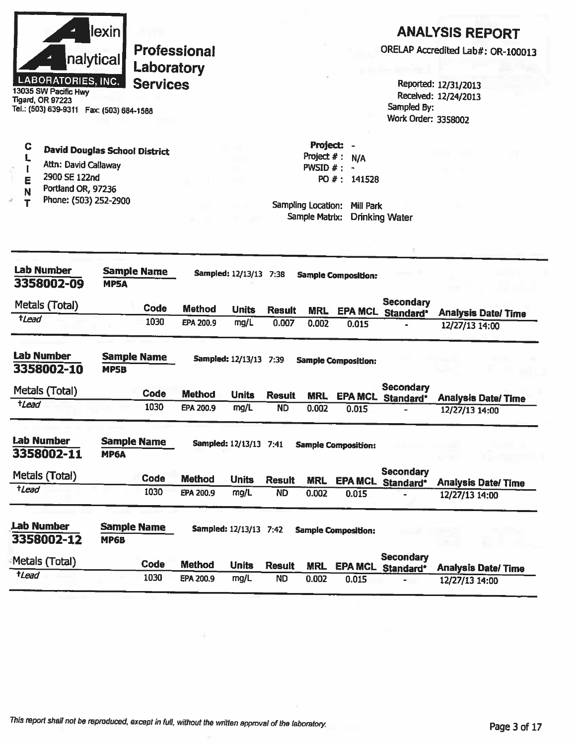

13035 SW Pacific Hwy **Tigard, OR 97223** Tel.: (503) 639-9311 Fax: (503) 684-1588

## **ANALYSIS REPORT**

ORELAP Accredited Lab#: OR-100013

Reported: 12/31/2013 Received: 12/24/2013 Sampled By: Work Order: 3358002

| C | <b>David Douglas School District</b> |  |
|---|--------------------------------------|--|
|   |                                      |  |

- L Attn: David Callaway  $\mathbf{I}$
- 2900 SE 122nd E
- Portland OR, 97236 N
- Phone: (503) 252-2900 T

Project: -Project  $# : N/A$ PWSID  $#$  : -PO #: 141528

| <b>Lab Number</b><br>3358002-09 | <b>Sample Name</b><br><b>MP5A</b> |             |               | Sampled: 12/13/13 7:38   | <b>Sample Composition:</b> |            |                            |                               |                           |
|---------------------------------|-----------------------------------|-------------|---------------|--------------------------|----------------------------|------------|----------------------------|-------------------------------|---------------------------|
| Metals (Total)                  |                                   | <b>Code</b> | <b>Method</b> | <b>Units</b>             | <b>Result</b>              | <b>MRL</b> | <b>EPA MCL</b>             | <b>Secondary</b><br>Standard* | <b>Analysis Date/Time</b> |
| <i><b>tLead</b></i>             |                                   | 1030        | EPA 200.9     | mg/L                     | 0.007                      | 0.002      | 0.015                      |                               | 12/27/13 14:00            |
| <b>Lab Number</b><br>3358002-10 | <b>Sample Name</b><br>MP5B        |             |               | <b>Sampled: 12/13/13</b> | 7:39                       |            | <b>Sample Composition:</b> |                               |                           |
| Metals (Total)                  |                                   | Code        | Method        | <b>Units</b>             | <b>Result</b>              | <b>MRL</b> | <b>EPA MCL</b>             | <b>Secondary</b><br>Standard* | <b>Analysis Date/Time</b> |
| tLead                           |                                   | 1030        | EPA 200.9     | mg/L                     | <b>ND</b>                  | 0.002      | 0.015                      |                               | 12/27/13 14:00            |
| <b>Lab Number</b><br>3358002-11 | <b>Sample Name</b><br><b>MP6A</b> |             |               | <b>Sampled: 12/13/13</b> | 7:41                       |            | <b>Sample Composition:</b> |                               |                           |
| Metals (Total)                  |                                   | Code        | <b>Method</b> | <b>Units</b>             | <b>Result</b>              | <b>MRL</b> | <b>EPA MCL</b>             | <b>Secondary</b><br>Standard* | <b>Analysis Date/Time</b> |
| tLead                           |                                   | 1030        | EPA 200.9     | mg/L                     | <b>ND</b>                  | 0.002      | 0.015                      |                               | 12/27/13 14:00            |
| Lab Number<br>3358002-12        | <b>Sample Name</b><br><b>MP6B</b> |             |               | Sampled: 12/13/13 7:42   |                            |            | <b>Sample Composition:</b> |                               |                           |
| Metals (Total)                  |                                   | <b>Code</b> | <b>Method</b> | <b>Units</b>             | <b>Result</b>              | <b>MRL</b> | <b>EPA MCL</b>             | <b>Secondary</b><br>Standard* | <b>Analysis Date/Time</b> |
| tLead                           |                                   | 1030        | EPA 200.9     | mg/L                     | <b>ND</b>                  | 0.002      | 0.015                      |                               | 12/27/13 14:00            |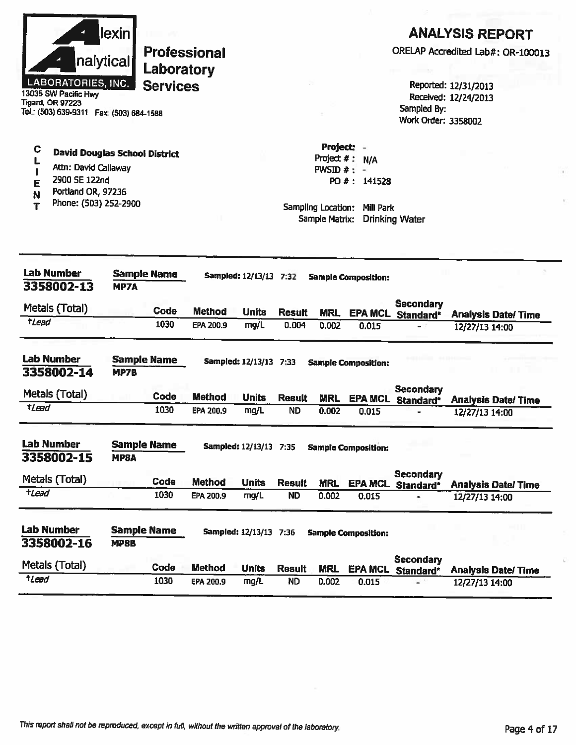|                     | nalytical<br><b>LABORATORIES, INC.</b><br>13035 SW Pacific Hwy<br>Tigard, OR 97223<br>Tel.: (503) 639-9311  Fax: (503) 684-1588 | lexin                      | <b>Professional</b><br>Laboratory<br><b>Services</b> |               |                               |               |                                                                    |                                               | Sampled By:<br>Work Order: 3358002    | <b>ANALYSIS REPORT</b><br>ORELAP Accredited Lab#: OR-100013<br>Reported: 12/31/2013<br>Received: 12/24/2013 |
|---------------------|---------------------------------------------------------------------------------------------------------------------------------|----------------------------|------------------------------------------------------|---------------|-------------------------------|---------------|--------------------------------------------------------------------|-----------------------------------------------|---------------------------------------|-------------------------------------------------------------------------------------------------------------|
| C<br>E<br>N<br>т    | <b>David Douglas School District</b><br>Attn: David Callaway<br>2900 SE 122nd<br>Portland OR, 97236<br>Phone: (503) 252-2900    |                            |                                                      |               |                               |               | Project: -<br>PWSID $#: -$<br>Sampling Location:<br>Sample Matrix: | Project $#: N/A$<br>PO #: 141528<br>Mill Park | <b>Drinking Water</b>                 |                                                                                                             |
|                     | <b>Lab Number</b><br>3358002-13                                                                                                 | <b>MP7A</b>                | <b>Sample Name</b>                                   |               | Sampled: 12/13/13 7:32        |               |                                                                    | <b>Sample Composition:</b>                    |                                       |                                                                                                             |
|                     | Metals (Total)                                                                                                                  |                            | Code                                                 | <b>Method</b> | <b>Units</b>                  | <b>Result</b> | <b>MRL</b>                                                         | <b>EPA MCL</b>                                | <b>Secondary</b>                      |                                                                                                             |
| <b>t</b> Lead       |                                                                                                                                 |                            | 1030                                                 | EPA 200.9     | mg/L                          | 0.004         | 0.002                                                              | 0.015                                         | Standard*                             | <b>Analysis Date/Time</b><br>12/27/13 14:00                                                                 |
|                     | <b>Lab Number</b><br>3358002-14                                                                                                 | MP7B                       | <b>Sample Name</b>                                   |               | Sampled: 12/13/13 7:33        |               |                                                                    | <b>Sample Composition:</b>                    |                                       |                                                                                                             |
|                     | Metals (Total)                                                                                                                  |                            | Code                                                 | <b>Method</b> | <b>Units</b>                  | <b>Result</b> | <b>MRL</b>                                                         |                                               | <b>Secondary</b><br>EPA MCL Standard* | <b>Analysis Date/Time</b>                                                                                   |
| <i><b>tLead</b></i> |                                                                                                                                 |                            | 1030                                                 | EPA 200.9     | mg/L                          | <b>ND</b>     | 0.002                                                              | 0.015                                         |                                       | 12/27/13 14:00                                                                                              |
|                     | <b>Lab Number</b><br>3358002-15                                                                                                 | MP8A                       | <b>Sample Name</b>                                   |               | <b>Sampled: 12/13/13 7:35</b> |               |                                                                    | <b>Sample Composition:</b>                    |                                       |                                                                                                             |
|                     | Metals (Total)                                                                                                                  |                            | Code                                                 | <b>Method</b> | <b>Units</b>                  | <b>Result</b> | <b>MRL</b>                                                         |                                               | Secondary<br>EPA MCL Standard*        | <b>Analysis Date/Time</b>                                                                                   |
| $t$ <i>Lead</i>     |                                                                                                                                 |                            | 1030                                                 | EPA 200.9     | mg/L                          | <b>ND</b>     | 0.002                                                              | 0.015                                         |                                       | 12/27/13 14:00                                                                                              |
|                     | <b>Lab Number</b><br>3358002-16                                                                                                 | <b>Sample Name</b><br>MP8B |                                                      |               | Sampled: 12/13/13 7:36        |               |                                                                    | <b>Sample Composition:</b>                    |                                       |                                                                                                             |
|                     | Metals (Total)                                                                                                                  |                            | Code                                                 | <b>Method</b> | <b>Units</b>                  | <b>Result</b> | <b>MRL</b>                                                         | <b>EPA MCL</b>                                | <b>Secondary</b><br>Standard*         | <b>Analysis Date/Time</b>                                                                                   |
| <i><b>tLead</b></i> |                                                                                                                                 |                            | 1030                                                 | EPA 200.9     | mg/L                          | <b>ND</b>     | 0.002                                                              | 0.015                                         | ÷                                     | 12/27/13 14:00                                                                                              |

i.

ö

 $\bar{K}$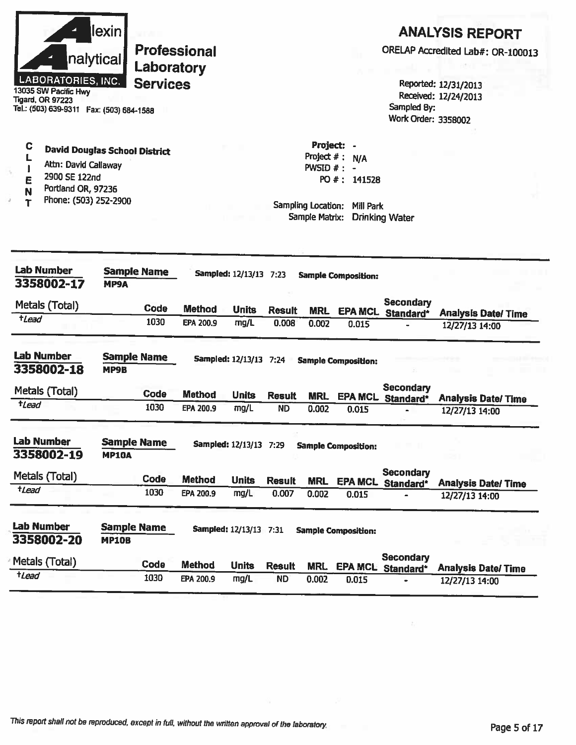|                     | nalytical<br>LABORATORIES, INC.<br>13035 SW Pacific Hwy<br>Tigard, OR 97223<br>Tel.: (503) 639-9311  Fax: (503) 684-1588     | <b>lexin</b>                       | Laboratory<br><b>Services</b> | <b>Professional</b>        |                        |                        |                                                                  |                                                                   | Sampled By:<br>Work Order: 3358002           | <b>ANALYSIS REPORT</b><br>ORELAP Accredited Lab#: OR-100013<br>Reported: 12/31/2013<br>Received: 12/24/2013 |
|---------------------|------------------------------------------------------------------------------------------------------------------------------|------------------------------------|-------------------------------|----------------------------|------------------------|------------------------|------------------------------------------------------------------|-------------------------------------------------------------------|----------------------------------------------|-------------------------------------------------------------------------------------------------------------|
| С<br>E<br>т         | <b>David Douglas School District</b><br>Attn: David Callaway<br>2900 SE 122nd<br>Portland OR, 97236<br>Phone: (503) 252-2900 |                                    |                               |                            |                        |                        | Project:<br>Project $#$ :<br>PWSID $#$ : -<br>Sampling Location: | N/A<br>PO #: 141528<br>Mill Park<br>Sample Matrix: Drinking Water |                                              |                                                                                                             |
|                     | <b>Lab Number</b><br>3358002-17                                                                                              | <b>Sample Name</b><br>MP9A         |                               |                            | Sampled: 12/13/13 7:23 |                        |                                                                  | <b>Sample Composition:</b>                                        |                                              |                                                                                                             |
| $t$ <i>Lead</i>     | Metals (Total)                                                                                                               |                                    | Code<br>1030                  | <b>Method</b><br>EPA 200,9 | <b>Units</b><br>mg/L   | <b>Result</b><br>0.008 | <b>MRL</b>                                                       | <b>EPA MCL</b>                                                    | <b>Secondary</b><br>Standard*                | <b>Analysis Date/ Time</b>                                                                                  |
|                     |                                                                                                                              |                                    |                               |                            |                        |                        | 0.002                                                            | 0.015                                                             |                                              | 12/27/13 14:00                                                                                              |
|                     | <b>Lab Number</b><br>3358002-18                                                                                              | <b>Sample Name</b><br>MP9B         |                               |                            | Sampled: 12/13/13 7:24 |                        |                                                                  | <b>Sample Composition:</b>                                        |                                              |                                                                                                             |
|                     | Metals (Total)                                                                                                               |                                    | Code                          | <b>Method</b>              | <b>Units</b>           | <b>Result</b>          | <b>MRL</b>                                                       |                                                                   | <b>Secondary</b><br><b>EPA MCL</b> Standard* | <b>Analysis Date/Time</b>                                                                                   |
| <i>t</i> Lead       |                                                                                                                              |                                    | 1030                          | EPA 200.9                  | mg/L                   | <b>ND</b>              | 0.002                                                            | 0.015                                                             |                                              | 12/27/13 14:00                                                                                              |
|                     | <b>Lab Number</b><br>3358002-19                                                                                              | <b>Sample Name</b><br><b>MP10A</b> |                               |                            | Sampled: 12/13/13 7:29 |                        |                                                                  | <b>Sample Composition:</b>                                        |                                              |                                                                                                             |
|                     | Metals (Total)                                                                                                               |                                    | Code                          | <b>Method</b>              | <b>Units</b>           | <b>Result</b>          | <b>MRL</b>                                                       |                                                                   | <b>Secondary</b>                             |                                                                                                             |
| <i><b>tLead</b></i> |                                                                                                                              |                                    | 1030                          | EPA 200.9                  | mg/L                   | 0.007                  | 0.002                                                            | <b>EPA MCL</b><br>0.015                                           | Standard*                                    | <b>Analysis Date/Time</b><br>12/27/13 14:00                                                                 |
|                     | <b>Lab Number</b><br>3358002-20                                                                                              | <b>Sample Name</b><br><b>MP10B</b> |                               |                            | Sampled: 12/13/13 7:31 |                        |                                                                  | <b>Sample Composition:</b>                                        |                                              |                                                                                                             |
|                     | Metals (Total)                                                                                                               |                                    | Code                          | <b>Method</b>              | <b>Units</b>           | <b>Result</b>          | <b>MRL</b>                                                       | <b>EPA MCL</b>                                                    | <b>Secondary</b><br>Standard*                | <b>Analysis Date/Time</b>                                                                                   |
| $t$ <i>Lead</i>     |                                                                                                                              |                                    | 1030                          | EPA 200.9                  | mg/L                   | <b>ND</b>              | 0.002                                                            | 0.015                                                             |                                              | 12/27/13 14:00                                                                                              |

÷,

s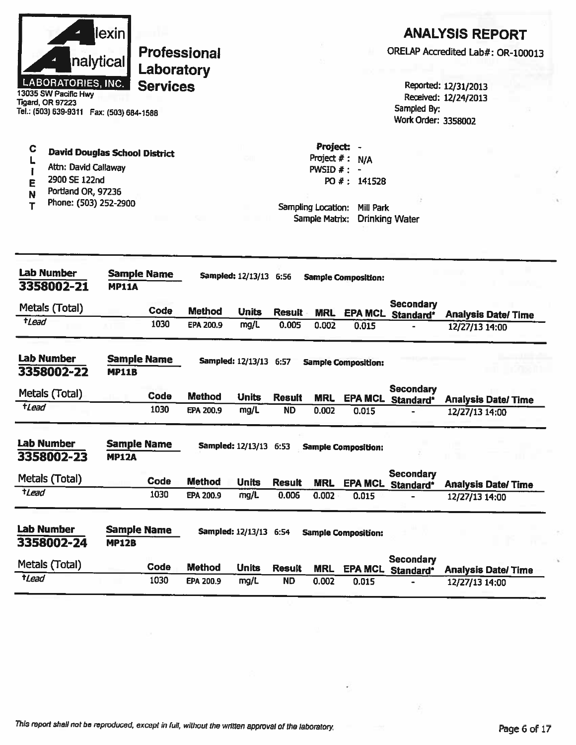| llexin l                                          |                                   |
|---------------------------------------------------|-----------------------------------|
| nalytical                                         | <b>Professional</b><br>Laboratory |
| <b>LABORATORIES, INC.</b><br>13035 SW Pacific Hwy | <b>Services</b>                   |

**Tigard, OR 97223** Tel.: (503) 639-9311 Fax: (503) 684-1588

# **ANALYSIS REPORT**

ORELAP Accredited Lab#: OR-100013

Reported: 12/31/2013 Received: 12/24/2013 Sampled By: Work Order: 3358002

- $\mathbf c$ **David Douglas School District**  $\mathbf{L}$
- Attn: David Callaway  $\mathbf{I}$
- 2900 SE 122nd Ē
- Portland OR, 97236 N
- Phone: (503) 252-2900  $\mathbf T$

Project  $# : N/A$ PWSID  $# : -$ PO #: 141528

Project: -

| <b>Lab Number</b><br>3358002-21 | <b>Sample Name</b><br><b>MP11A</b> |             |               | Sampled: 12/13/13 6:56        |               | <b>Sample Composition:</b> |                            |                                    |                           |
|---------------------------------|------------------------------------|-------------|---------------|-------------------------------|---------------|----------------------------|----------------------------|------------------------------------|---------------------------|
| Metals (Total)                  |                                    | Code        | <b>Method</b> | <b>Units</b>                  | <b>Result</b> | <b>MRL</b>                 | <b>EPA MCL</b>             | <b>Secondary</b><br>Standard*      | <b>Analysis Date/Time</b> |
| <i>tLead</i>                    |                                    | 1030        | EPA 200.9     | mg/L                          | 0.005         | 0.002                      | 0.015                      |                                    | 12/27/13 14:00            |
| <b>Lab Number</b><br>3358002-22 | <b>Sample Name</b><br><b>MP11B</b> |             |               | <b>Sampled: 12/13/13</b>      | 6:57          |                            | <b>Sample Composition:</b> |                                    |                           |
| Metals (Total)                  |                                    | <b>Code</b> | <b>Method</b> | <b>Units</b>                  | <b>Result</b> | <b>MRL</b>                 | <b>EPA MCL</b>             | <b>Secondary</b><br>Standard*      | <b>Analysis Date/Time</b> |
| <i>t</i> Lead                   |                                    | 1030        | EPA 200.9     | mg/L                          | <b>ND</b>     | 0.002                      | 0.015                      |                                    | 12/27/13 14:00            |
| <b>Lab Number</b><br>3358002-23 | <b>Sample Name</b><br><b>MP12A</b> |             |               | <b>Sampled: 12/13/13 6:53</b> |               |                            | <b>Sample Composition:</b> |                                    |                           |
| Metals (Total)                  |                                    | <b>Code</b> | <b>Method</b> | <b>Units</b>                  | <b>Result</b> | <b>MRL</b>                 | <b>EPA MCL</b>             | Secondary<br>Standard*             | <b>Analysis Date/Time</b> |
| $t$ Lead                        |                                    | 1030        | EPA 200.9     | mg/L                          | 0.006         | 0.002                      | 0.015                      |                                    | 12/27/13 14:00            |
| <b>Lab Number</b><br>3358002-24 | Sample Name<br><b>MP12B</b>        |             |               | Sampled: 12/13/13 6:54        |               |                            | <b>Sample Composition:</b> |                                    |                           |
| Metals (Total)                  |                                    | Code        | <b>Method</b> | <b>Units</b>                  | <b>Result</b> | <b>MRL</b>                 | <b>EPA MCL</b>             | Secondary<br>Standard <sup>*</sup> | <b>Analysis Date/Time</b> |
| <i><b>tLead</b></i>             |                                    | 1030        | EPA 200.9     | mg/L                          | <b>ND</b>     | 0.002                      | 0.015                      |                                    | 12/27/13 14:00            |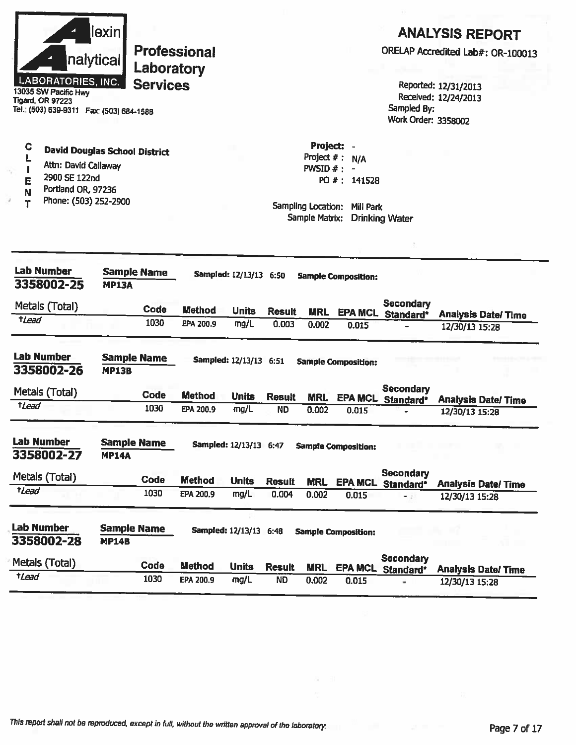| llexinl                                       |   |
|-----------------------------------------------|---|
| nalytical                                     | Ľ |
| LABORATORIES, INC.<br><b>SW Donifie Lluss</b> | C |

wy **Tigard, OR 97223** Tel.: (503) 639-9311 Fax: (503) 684-1588

#### C **David Douglas School District** L

- Attn: David Callaway f.
- 2900 SE 122nd E
- Portland OR, 97236 N
- Phone: (503) 252-2900 T

# **ANALYSIS REPORT**

ORELAP Accredited Lab#: OR-100013

Reported: 12/31/2013 Received: 12/24/2013 Sampled By: **Work Order: 3358002** 

Project: -Project  $# : N/A$ PWSID  $#$  : -PO #: 141528

| <b>Lab Number</b><br>3358002-25 | <b>Sample Name</b><br><b>MP13A</b> |             |               | Sampled: 12/13/13 6:50   |               |            | <b>Sample Composition:</b> |                                      |                            |
|---------------------------------|------------------------------------|-------------|---------------|--------------------------|---------------|------------|----------------------------|--------------------------------------|----------------------------|
| Metals (Total)                  |                                    | Code        | <b>Method</b> | <b>Units</b>             | <b>Result</b> | <b>MRL</b> | <b>EPA MCL</b>             | <b>Secondary</b><br>Standard*        | <b>Analysis Date/Time</b>  |
| $t$ Lead                        |                                    | 1030        | EPA 200.9     | mg/L                     | 0.003         | 0.002      | 0.015                      |                                      | 12/30/13 15:28             |
| <b>Lab Number</b><br>3358002-26 | <b>Sample Name</b><br><b>MP13B</b> |             |               | Sampled: 12/13/13 6:51   |               |            | <b>Sample Composition:</b> |                                      |                            |
| Metals (Total)                  |                                    | <b>Code</b> | <b>Method</b> | <b>Units</b>             | <b>Result</b> | <b>MRL</b> | <b>EPA MCL</b>             | <b>Secondary</b><br>Standard*        | <b>Analysis Date/ Time</b> |
| tLead                           |                                    | 1030        | EPA 200.9     | mg/L                     | <b>ND</b>     | 0.002      | 0.015                      |                                      | 12/30/13 15:28             |
| <b>Lab Number</b><br>3358002-27 | <b>Sample Name</b><br><b>MP14A</b> |             |               | Sampled: 12/13/13 6:47   |               |            | <b>Sample Composition:</b> |                                      |                            |
| Metals (Total)                  |                                    | Code        | <b>Method</b> | <b>Units</b>             | <b>Result</b> | <b>MRL</b> | <b>EPA MCL</b>             | <b>Secondary</b><br><b>Standard*</b> | <b>Analysis Date/Time</b>  |
| tLead                           |                                    | 1030        | EPA 200.9     | mg/L                     | 0.004         | 0.002      | 0.015                      | e di                                 | 12/30/13 15:28             |
| <b>Lab Number</b><br>3358002-28 | <b>Sample Name</b><br><b>MP14B</b> |             |               | <b>Sampled: 12/13/13</b> | 6:48          |            | <b>Sample Composition:</b> |                                      |                            |
| Metals (Total)                  |                                    | <b>Code</b> | <b>Method</b> | <b>Units</b>             | <b>Result</b> | <b>MRL</b> | <b>EPA MCL</b>             | Secondary<br>Standard*               | <b>Analysis Date/Time</b>  |
| <b>tLead</b>                    |                                    | 1030        | EPA 200.9     | mg/L                     | <b>ND</b>     | 0.002      | 0.015                      |                                      | 12/30/13 15:28             |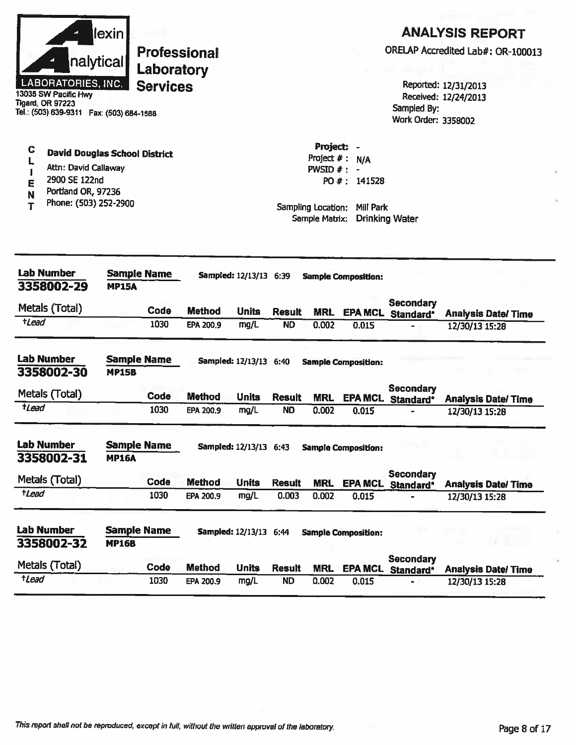|                  | nalytical<br><b>LABORATORIES, INC.</b><br>13035 SW Pacific Hwy<br>Tigard, OR 97223<br>Tel.: (503) 639-9311  Fax: (503) 684-1588 | $\sf lexin$                        | Laboratory<br><b>Services</b> | <b>Professional</b> |                               |               |                                             |                                                                                             | ORELAP Accredited Lab#: OR-100013<br>Sampled By:<br>Work Order: 3358002 | Reported: 12/31/2013<br>Received: 12/24/2013 | <b>ANALYSIS REPORT</b>    |  |
|------------------|---------------------------------------------------------------------------------------------------------------------------------|------------------------------------|-------------------------------|---------------------|-------------------------------|---------------|---------------------------------------------|---------------------------------------------------------------------------------------------|-------------------------------------------------------------------------|----------------------------------------------|---------------------------|--|
| C<br>E<br>N<br>т | <b>David Douglas School District</b><br>Attn: David Callaway<br>2900 SE 122nd<br>Portland OR, 97236<br>Phone: (503) 252-2900    |                                    |                               |                     |                               |               | Project: -<br>Project $#:$<br>PWSID $# : -$ | <b>N/A</b><br>PO #: 141528<br>Sampling Location: Mill Park<br>Sample Matrix: Drinking Water |                                                                         |                                              |                           |  |
|                  | <b>Lab Number</b><br>3358002-29                                                                                                 | <b>MP15A</b>                       | <b>Sample Name</b>            |                     | <b>Sampled:</b> 12/13/13 6:39 |               |                                             | <b>Sample Composition:</b>                                                                  |                                                                         |                                              |                           |  |
|                  | Metals (Total)                                                                                                                  |                                    | Code                          | <b>Method</b>       | <b>Units</b>                  | <b>Result</b> | <b>MRL</b>                                  |                                                                                             | <b>Secondary</b><br><b>EPA MCL Standard*</b>                            |                                              | <b>Analysis Date/Time</b> |  |
| tLead            |                                                                                                                                 |                                    | 1030                          | EPA 200.9           | mg/L                          | <b>ND</b>     | 0.002                                       | 0.015                                                                                       | - 5                                                                     | 12/30/13 15:28                               |                           |  |
|                  | <b>Lab Number</b><br>3358002-30                                                                                                 | <b>Sample Name</b><br><b>MP15B</b> |                               |                     | Sampled: 12/13/13 6:40        |               |                                             | <b>Sample Composition:</b>                                                                  |                                                                         |                                              |                           |  |
|                  | Metals (Total)                                                                                                                  |                                    | Code                          | <b>Method</b>       | <b>Units</b>                  | <b>Result</b> | <b>MRL</b>                                  |                                                                                             | <b>Secondary</b><br>EPA MCL Standard*                                   |                                              | <b>Analysis Date/Time</b> |  |
| $t$ Lead         |                                                                                                                                 |                                    | 1030                          | <b>EPA 200.9</b>    | mg/L                          | <b>ND</b>     | 0.002                                       | 0.015                                                                                       |                                                                         | 12/30/13 15:28                               |                           |  |
|                  | <b>Lab Number</b><br>3358002-31                                                                                                 | <b>Sample Name</b><br><b>MP16A</b> |                               |                     | Sampled: 12/13/13 6:43        |               |                                             | <b>Sample Composition:</b>                                                                  |                                                                         |                                              |                           |  |
|                  | Metals (Total)                                                                                                                  |                                    | Code                          | <b>Method</b>       | <b>Units</b>                  | <b>Result</b> | <b>MRL</b>                                  |                                                                                             | Secondary                                                               |                                              |                           |  |
| $t$ <i>Lead</i>  |                                                                                                                                 |                                    | 1030                          | EPA 200.9           | mg/L                          | 0.003         | 0.002                                       | 0.015                                                                                       | EPA MCL Standard*                                                       | 12/30/13 15:28                               | <b>Analysis Date/Time</b> |  |
|                  | <b>Lab Number</b><br>3358002-32                                                                                                 | <b>Sample Name</b><br><b>MP16B</b> |                               |                     | <b>Sampled: 12/13/13 6:44</b> |               |                                             | <b>Sample Composition:</b>                                                                  |                                                                         |                                              |                           |  |
|                  | Metals (Total)                                                                                                                  |                                    | Code                          | <b>Method</b>       | <b>Units</b>                  | <b>Result</b> | <b>MRL</b>                                  |                                                                                             | <b>Secondary</b><br>EPA MCL Standard*                                   |                                              | <b>Analysis Date/Time</b> |  |
| $t$ <i>Lead</i>  |                                                                                                                                 |                                    | 1030                          | EPA 200.9           | mg/L                          | <b>ND</b>     | 0.002                                       | 0.015                                                                                       | - 21                                                                    | 12/30/13 15:28                               |                           |  |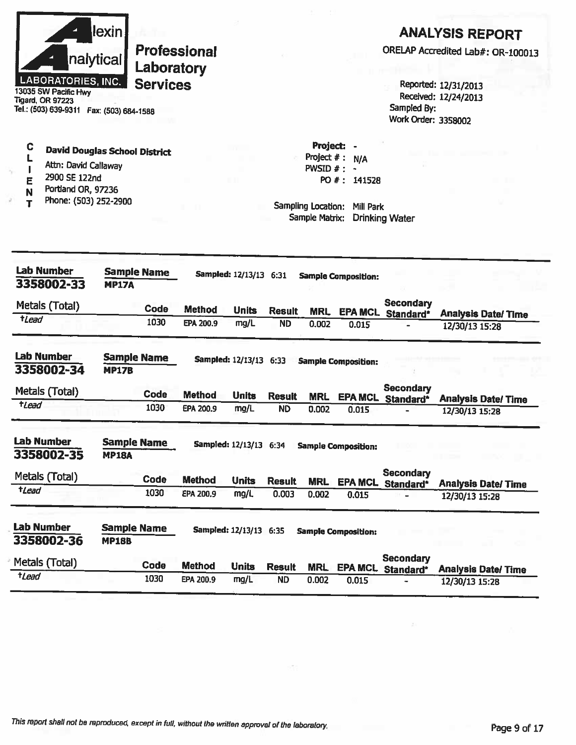|             | <b>LABORATORIES, INC.</b><br>13035 SW Pacific Hwy<br>Tigard, OR 97223<br>Tel.: (503) 639-9311    Fax: (503) 684-1588         | lexin <br>nalytical                | Laboratory<br><b>Services</b> | <b>Professional</b> |                        |               |                                                                 |                                                     | Sampled By:<br><b>Work Order: 3358002</b> | <b>ANALYSIS REPORT</b><br>ORELAP Accredited Lab#: OR-100013<br>Reported: 12/31/2013<br>Received: 12/24/2013 |
|-------------|------------------------------------------------------------------------------------------------------------------------------|------------------------------------|-------------------------------|---------------------|------------------------|---------------|-----------------------------------------------------------------|-----------------------------------------------------|-------------------------------------------|-------------------------------------------------------------------------------------------------------------|
| C<br>E<br>N | <b>David Douglas School District</b><br>Attn: David Callaway<br>2900 SE 122nd<br>Portland OR, 97236<br>Phone: (503) 252-2900 |                                    |                               |                     |                        |               | Project: -<br>Project $#:$<br>PWSID $#$ : $-$<br>Sample Matrix: | N/A<br>PO #: 141528<br>Sampling Location: Mill Park | <b>Drinking Water</b>                     |                                                                                                             |
|             | <b>Lab Number</b><br>3358002-33                                                                                              | <b>MP17A</b>                       | <b>Sample Name</b>            |                     | Sampled: 12/13/13 6:31 |               |                                                                 | <b>Sample Composition:</b>                          |                                           |                                                                                                             |
|             | Metals (Total)                                                                                                               |                                    | <b>Code</b>                   | Method              | <b>Units</b>           | <b>Result</b> | <b>MRL</b>                                                      | <b>EPA MCL</b>                                      | <b>Secondary</b><br>Standard*             | <b>Analysis Date/Time</b>                                                                                   |
| tLead       |                                                                                                                              |                                    | 1030                          | EPA 200.9           | mg/L                   | <b>ND</b>     | 0.002                                                           | 0.015                                               |                                           | 12/30/13 15:28                                                                                              |
|             | <b>Lab Number</b><br>3358002-34                                                                                              | <b>Sample Name</b><br><b>MP17B</b> |                               |                     | Sampled: 12/13/13 6:33 |               |                                                                 | <b>Sample Composition:</b>                          |                                           |                                                                                                             |
|             | Metals (Total)                                                                                                               |                                    | Code                          | <b>Method</b>       | <b>Units</b>           | <b>Result</b> | <b>MRL</b>                                                      | <b>EPA MCL</b>                                      | <b>Secondary</b><br>Standard*             | <b>Analysis Date/ Time</b>                                                                                  |
| tLead       |                                                                                                                              |                                    | 1030                          | EPA 200.9           | mg/L                   | <b>ND</b>     | 0.002                                                           | 0.015                                               |                                           | 12/30/13 15:28                                                                                              |
|             | Lab Number<br>3358002-35                                                                                                     | <b>Sample Name</b><br><b>MP18A</b> |                               |                     | Sampled: 12/13/13 6:34 |               |                                                                 | <b>Sample Composition:</b>                          |                                           |                                                                                                             |
|             | Metals (Total)                                                                                                               |                                    | Code                          | <b>Method</b>       | <b>Units</b>           | <b>Result</b> | <b>MRL</b>                                                      | <b>EPA MCL</b>                                      | Secondary                                 |                                                                                                             |
| tLead       |                                                                                                                              |                                    | 1030                          | EPA 200.9           | mg/L                   | 0.003         | 0.002                                                           | 0.015                                               | Standard*                                 | <b>Analysis Date/Time</b><br>12/30/13 15:28                                                                 |
|             |                                                                                                                              |                                    |                               |                     |                        |               |                                                                 |                                                     |                                           |                                                                                                             |
|             | Lab Number<br>3358002-36                                                                                                     | <b>Sample Name</b><br><b>MP18B</b> |                               |                     | Sampled: 12/13/13 6:35 |               |                                                                 | <b>Sample Composition:</b>                          |                                           |                                                                                                             |
| tLead       | Metals (Total)                                                                                                               |                                    | Code                          | <b>Method</b>       | <b>Units</b>           | <b>Result</b> | <b>MRL</b>                                                      | <b>EPA MCL</b>                                      | <b>Secondary</b><br>Standard*             | <b>Analysis Date/Time</b>                                                                                   |

×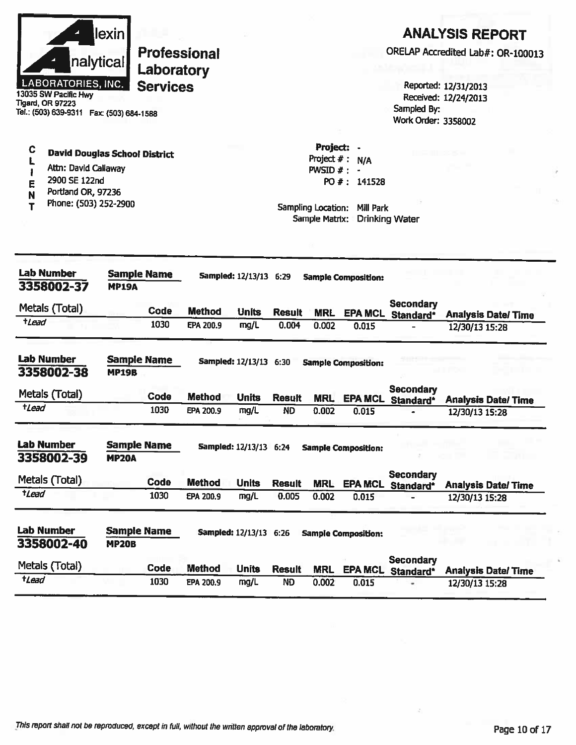| Tigard, OR 97223  | nalytical<br><b>LABORATORIES, INC.</b><br>13035 SW Pacific Hwy<br>Tel.: (503) 639-9311    Fax: (503) 684-1588                | lexin                              | Laboratory<br><b>Services</b> | <b>Professional</b>        |                               |                                                                                   |                           |                            | Sampled By:<br>Work Order: 3358002    | <b>ANALYSIS REPORT</b><br>ORELAP Accredited Lab#: OR-100013<br>Reported: 12/31/2013<br>Received: 12/24/2013 |
|-------------------|------------------------------------------------------------------------------------------------------------------------------|------------------------------------|-------------------------------|----------------------------|-------------------------------|-----------------------------------------------------------------------------------|---------------------------|----------------------------|---------------------------------------|-------------------------------------------------------------------------------------------------------------|
| C<br>E<br>N<br>т  | <b>David Douglas School District</b><br>Attn: David Callaway<br>2900 SE 122nd<br>Portland OR, 97236<br>Phone: (503) 252-2900 |                                    |                               |                            |                               | Project:<br>Project #: N/A<br>$PWSID$ # :<br>Sampling Location:<br>Sample Matrix: | PO #: 141528<br>Mill Park | <b>Drinking Water</b>      |                                       |                                                                                                             |
|                   | <b>Lab Number</b><br>3358002-37                                                                                              | <b>Sample Name</b><br><b>MP19A</b> |                               |                            | Sampled: 12/13/13 6:29        |                                                                                   |                           | <b>Sample Composition:</b> |                                       |                                                                                                             |
| <i>tLead</i>      | Metals (Total)                                                                                                               |                                    | Code<br>1030                  | <b>Method</b><br>EPA 200.9 | <b>Units</b><br>mg/L          | <b>Result</b><br>0.004                                                            | <b>MRL</b><br>0.002       | <b>EPA MCL</b><br>0.015    | <b>Secondary</b><br>Standard*         | <b>Analysis Date/Time</b><br>12/30/13 15:28                                                                 |
| <b>Lab Number</b> | 3358002-38                                                                                                                   | <b>Sample Name</b><br><b>MP19B</b> |                               |                            | <b>Sampled: 12/13/13 6:30</b> |                                                                                   |                           | <b>Sample Composition:</b> |                                       |                                                                                                             |
| tLead             | Metals (Total)                                                                                                               |                                    | Code<br>1030                  | <b>Method</b><br>EPA 200.9 | <b>Units</b><br>mg/L          | <b>Result</b><br><b>ND</b>                                                        | <b>MRL</b><br>0.002       | 0.015                      | <b>Secondary</b><br>EPA MCL Standard* | <b>Analysis Date/Time</b><br>12/30/13 15:28                                                                 |
| <b>Lab Number</b> | 3358002-39                                                                                                                   | <b>Sample Name</b><br><b>MP20A</b> |                               |                            | Sampled: 12/13/13 6:24        |                                                                                   |                           | <b>Sample Composition:</b> |                                       |                                                                                                             |
|                   | Metals (Total)                                                                                                               |                                    | Code                          | <b>Method</b>              | <b>Units</b>                  | <b>Result</b>                                                                     |                           |                            | <b>Secondary</b>                      |                                                                                                             |
| tLead             |                                                                                                                              |                                    | 1030                          | EPA 200.9                  | mg/L                          | 0.005                                                                             | <b>MRL</b><br>0.002       | 0.015                      | EPA MCL Standard*                     | <b>Analysis Date/ Time</b><br>12/30/13 15:28                                                                |
|                   |                                                                                                                              |                                    |                               |                            |                               |                                                                                   |                           | <b>Sample Composition:</b> |                                       |                                                                                                             |
| Lab Number        | 3358002-40                                                                                                                   | <b>MP20B</b>                       | <b>Sample Name</b>            |                            | Sampled: 12/13/13 6:26        |                                                                                   |                           |                            |                                       |                                                                                                             |
|                   | Metals (Total)                                                                                                               |                                    | Code                          | <b>Method</b>              | <b>Units</b>                  | <b>Result</b>                                                                     | <b>MRL</b>                |                            | <b>Secondary</b><br>EPA MCL Standard* | <b>Analysis Date/Time</b>                                                                                   |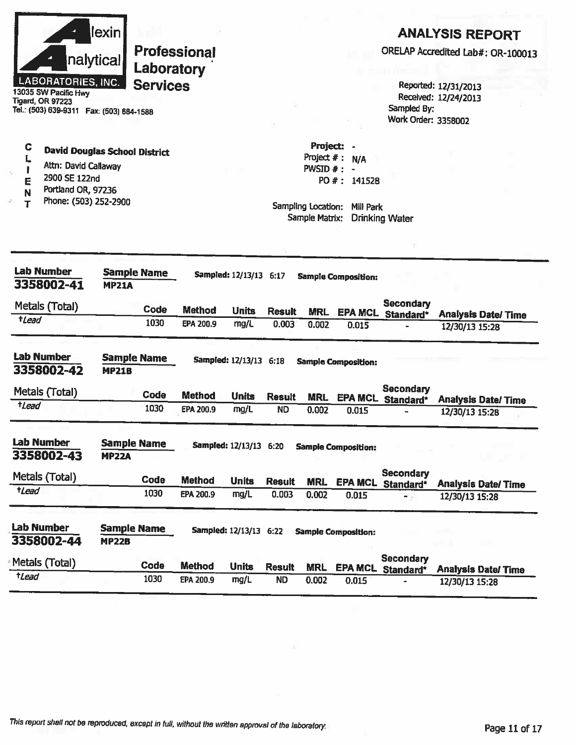|                                                                                                                                              | <u>lexini</u>                      |                     |                            |                        |                        |                     |                            |                               | <b>ANALYSIS REPORT</b>                       |
|----------------------------------------------------------------------------------------------------------------------------------------------|------------------------------------|---------------------|----------------------------|------------------------|------------------------|---------------------|----------------------------|-------------------------------|----------------------------------------------|
|                                                                                                                                              | nalytical                          | Laboratory          | <b>Professional</b>        |                        |                        |                     |                            |                               | ORELAP Accredited Lab#: OR-100013            |
| <b>LABORATORIES, INC.</b><br>13035 SW Pacific Hwy                                                                                            |                                    | <b>Services</b>     |                            |                        |                        |                     |                            |                               | Reported: 12/31/2013<br>Received: 12/24/2013 |
| <b>Tigard, OR 97223</b><br>Tel.: (503) 639-9311  Fax: (503) 684-1588                                                                         |                                    |                     |                            |                        |                        |                     |                            | Sampled By:                   |                                              |
|                                                                                                                                              |                                    |                     |                            |                        |                        |                     |                            | Work Order: 3358002           |                                              |
| C<br><b>David Douglas School District</b>                                                                                                    |                                    |                     |                            |                        |                        | Project: -          |                            |                               |                                              |
| L<br>Attn: David Callaway                                                                                                                    |                                    |                     |                            |                        |                        | Project $#: N/A$    |                            |                               |                                              |
| 2900 SE 122nd                                                                                                                                |                                    |                     |                            |                        |                        | PWSID $#: -$        | PO #: 141528               |                               |                                              |
| E<br>Portland OR, 97236<br>N                                                                                                                 |                                    |                     |                            |                        |                        |                     |                            |                               |                                              |
| Phone: (503) 252-2900<br>т                                                                                                                   |                                    |                     |                            |                        |                        | Sampling Location:  | Mill Park                  |                               |                                              |
|                                                                                                                                              |                                    |                     |                            |                        |                        | Sample Matrix:      |                            | <b>Drinking Water</b>         |                                              |
|                                                                                                                                              |                                    |                     |                            |                        |                        |                     |                            |                               |                                              |
| <b>Lab Number</b>                                                                                                                            | <b>Sample Name</b>                 |                     |                            | Sampled: 12/13/13 6:17 |                        |                     |                            |                               |                                              |
| 3358002-41                                                                                                                                   | <b>MP21A</b>                       |                     |                            |                        |                        |                     | <b>Sample Composition:</b> |                               |                                              |
|                                                                                                                                              |                                    |                     |                            |                        |                        |                     |                            | <b>Secondary</b>              |                                              |
| Metals (Total)<br>$t$ Lead                                                                                                                   |                                    | Code                | <b>Method</b>              | <b>Units</b>           | <b>Result</b>          | <b>MRL</b>          |                            | EPA MCL Standard*             | <b>Analysis Date/Time</b>                    |
|                                                                                                                                              |                                    | 1030                | EPA 200.9                  | mg/L                   | 0.003                  | 0.002               | 0.015                      | $\blacksquare$                | 12/30/13 15:28                               |
| <b>Lab Number</b>                                                                                                                            | <b>Sample Name</b>                 |                     |                            | Sampled: 12/13/13 6:18 |                        |                     | <b>Sample Composition:</b> |                               |                                              |
| 3358002-42                                                                                                                                   | <b>MP21B</b>                       |                     |                            |                        |                        |                     |                            |                               |                                              |
| Metals (Total)                                                                                                                               |                                    |                     |                            |                        |                        |                     |                            |                               |                                              |
|                                                                                                                                              |                                    | Code                | <b>Method</b>              | <b>Units</b>           | <b>Result</b>          | <b>MRL</b>          | <b>EPA MCL</b>             | <b>Secondary</b>              |                                              |
|                                                                                                                                              |                                    | 1030                | EPA 200.9                  | mg/L                   | <b>ND</b>              | 0.002               | 0.015                      | Standard*                     | <b>Analysis Date/Time</b><br>12/30/13 15:28  |
|                                                                                                                                              |                                    |                     |                            |                        |                        |                     |                            |                               |                                              |
|                                                                                                                                              | <b>Sample Name</b><br><b>MP22A</b> |                     |                            | Sampled: 12/13/13 6:20 |                        |                     | <b>Sample Composition:</b> |                               |                                              |
|                                                                                                                                              |                                    |                     |                            |                        |                        |                     |                            | Secondary                     |                                              |
|                                                                                                                                              |                                    | <b>Code</b><br>1030 | <b>Method</b><br>EPA 200.9 | <b>Units</b><br>mg/L   | <b>Result</b><br>0.003 | <b>MRL</b><br>0.002 | 0.015                      | EPA MCL Standard*<br>- 5      | <b>Analysis Date/Time</b>                    |
|                                                                                                                                              |                                    |                     |                            |                        |                        |                     |                            |                               | 12/30/13 15:28                               |
|                                                                                                                                              | <b>Sample Name</b>                 |                     |                            | Sampled: 12/13/13 6:22 |                        |                     | <b>Sample Composition:</b> |                               |                                              |
| <i><b>tLead</b></i>                                                                                                                          | <b>MP22B</b>                       |                     |                            |                        |                        |                     |                            |                               |                                              |
| <b>Lab Number</b><br>3358002-43<br>Metals (Total)<br>$t$ <i>Lead</i><br><b>Lab Number</b><br>3358002-44<br>Metals (Total)<br>$t$ <i>Lead</i> |                                    | Code                | <b>Method</b>              | <b>Units</b>           | <b>Result</b>          | <b>MRL</b>          | <b>EPA MCL</b>             | <b>Secondary</b><br>Standard* | <b>Analysis Date/ Time</b>                   |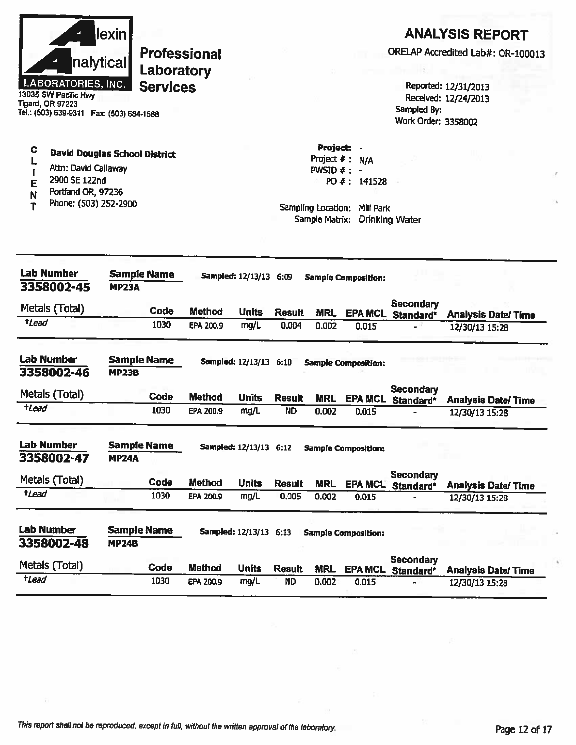

13035 SW Pacific Hwy **Tigard, OR 97223** Tel.: (503) 639-9311 Fax: (503) 684-1588

#### $\mathbf C$ **David Douglas School District** L

- Attn: David Callaway  $\mathbf{I}$
- 2900 SE 122nd Ē
- Portland OR, 97236 N
- Phone: (503) 252-2900 Ť

# **ANALYSIS REPORT**

ORELAP Accredited Lab#: OR-100013

Reported: 12/31/2013 Received: 12/24/2013 Sampled By: Work Order: 3358002

Project  $# : N/A$  $PWSID$   $# : -$ PO #: 141528

Project: -

| <b>Lab Number</b><br>3358002-45 | <b>Sample Name</b><br><b>MP23A</b> |                               | <b>Sampled: 12/13/13 6:09</b> |               |            | <b>Sample Composition:</b> |                               |                           |  |
|---------------------------------|------------------------------------|-------------------------------|-------------------------------|---------------|------------|----------------------------|-------------------------------|---------------------------|--|
| Metals (Total)                  | Code                               | <b>Method</b><br><b>Units</b> |                               | <b>Result</b> | <b>MRL</b> | <b>EPA MCL</b>             | <b>Secondary</b><br>Standard* | <b>Analysis Date/Time</b> |  |
| <i><b>+Lead</b></i>             | 1030                               | EPA 200.9                     | mg/L                          | 0.004         | 0.002      | 0.015                      |                               | 12/30/13 15:28            |  |
| <b>Lab Number</b><br>3358002-46 | <b>Sample Name</b><br><b>MP23B</b> |                               | Sampled: 12/13/13 6:10        |               |            | <b>Sample Composition:</b> |                               |                           |  |
| Metals (Total)                  | Code                               | <b>Method</b>                 | <b>Units</b>                  | <b>Result</b> | <b>MRL</b> | <b>EPA MCL</b>             | <b>Secondary</b><br>Standard* | <b>Analysis Date/Time</b> |  |
| tLead                           | 1030                               | <b>EPA 200.9</b>              | mg/L                          | <b>ND</b>     | 0.002      | 0.015                      |                               | 12/30/13 15:28            |  |
| <b>Lab Number</b><br>3358002-47 | <b>Sample Name</b><br><b>MP24A</b> |                               | Sampled: 12/13/13 6:12        |               |            | <b>Sample Composition:</b> |                               |                           |  |
| Metals (Total)                  | Code                               | <b>Method</b>                 | <b>Units</b>                  | <b>Result</b> | <b>MRL</b> | <b>EPA MCL</b>             | Secondary<br>Standard*        | <b>Analysis Date/Time</b> |  |
| tLead                           | 1030                               | EPA 200.9                     | mg/L                          | 0.005         | 0.002      | 0.015                      |                               | 12/30/13 15:28            |  |
| <b>Lab Number</b><br>3358002-48 | <b>Sample Name</b><br><b>MP24B</b> |                               | <b>Sampled: 12/13/13</b>      | 6.13          |            | <b>Sample Composition:</b> |                               |                           |  |
| Metals (Total)                  | Code                               | <b>Method</b>                 | <b>Units</b>                  | <b>Result</b> | <b>MRL</b> | <b>EPA MCL</b>             | Secondary<br>Standard*        | <b>Analysis Date/Time</b> |  |
| <b>tLead</b>                    | 1030                               | EPA 200.9                     | mg/L                          | ND            | 0.002      | 0.015                      |                               | 12/30/13 15:28            |  |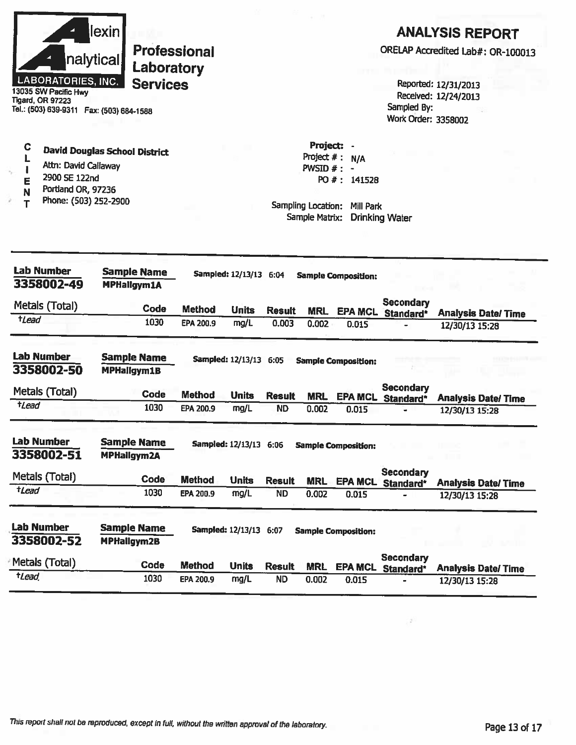| <b>LABORATORIES, INC.</b><br>13035 SW Pacific Hwy<br><b>Tigard, OR 97223</b><br>Tel.: (503) 639-9311  Fax: (503) 684-1588 | lexinl<br><b>Professional</b><br>nalytical<br>Laboratory<br><b>Services</b> |               |                        |               |                                                                                         |                            | Sampled By:<br>Work Order: 3358002    | <b>ANALYSIS REPORT</b><br>ORELAP Accredited Lab#: OR-100013<br>Reported: 12/31/2013<br>Received: 12/24/2013 |
|---------------------------------------------------------------------------------------------------------------------------|-----------------------------------------------------------------------------|---------------|------------------------|---------------|-----------------------------------------------------------------------------------------|----------------------------|---------------------------------------|-------------------------------------------------------------------------------------------------------------|
| C<br>Attn: David Callaway<br>÷,<br>2900 SE 122nd<br>Ε<br>Portland OR, 97236<br>N<br>Phone: (503) 252-2900                 | <b>David Douglas School District</b>                                        |               |                        |               | Project: -<br>Project $#: N/A$<br>PWSID $#$ : -<br>Sampling Location:<br>Sample Matrix: | PO #: 141528<br>Mill Park  | <b>Drinking Water</b>                 |                                                                                                             |
| <b>Lab Number</b><br>3358002-49                                                                                           | <b>Sample Name</b><br><b>MPHallgym1A</b>                                    |               | Sampled: 12/13/13 6:04 |               |                                                                                         | <b>Sample Composition:</b> |                                       |                                                                                                             |
| Metals (Total)                                                                                                            | Code                                                                        | <b>Method</b> | <b>Units</b>           | <b>Result</b> | <b>MRL</b>                                                                              |                            | <b>Secondary</b><br>EPA MCL Standard* | <b>Analysis Date/Time</b>                                                                                   |
| $t$ <i>Lead</i>                                                                                                           | 1030                                                                        | EPA 200.9     | mg/L                   | 0.003         | 0.002                                                                                   | 0.015                      |                                       | 12/30/13 15:28                                                                                              |
| <b>Lab Number</b><br>3358002-50                                                                                           | <b>Sample Name</b><br><b>MPHallgym1B</b>                                    |               | Sampled: 12/13/13 6:05 |               |                                                                                         | <b>Sample Composition:</b> |                                       |                                                                                                             |
| Metals (Total)                                                                                                            | Code                                                                        | <b>Method</b> | <b>Units</b>           | <b>Result</b> | <b>MRL</b>                                                                              | <b>EPA MCL</b>             | <b>Secondary</b>                      |                                                                                                             |
| <b>t</b> Lead                                                                                                             | 1030                                                                        | EPA 200.9     | mg/L                   | <b>ND</b>     | 0.002                                                                                   | 0.015                      | Standard*                             | <b>Analysis Date/Time</b><br>12/30/13 15:28                                                                 |
| <b>Lab Number</b><br>3358002-51                                                                                           | <b>Sample Name</b><br><b>MPHallgym2A</b>                                    |               | Sampled: 12/13/13 6:06 |               |                                                                                         | <b>Sample Composition:</b> |                                       |                                                                                                             |
| Metals (Total)                                                                                                            | Code                                                                        | <b>Method</b> | <b>Units</b>           | <b>Result</b> | <b>MRL</b>                                                                              |                            | Secondary<br>EPA MCL Standard*        | <b>Analysis Date/Time</b>                                                                                   |
| $t$ <i>Lead</i>                                                                                                           | 1030                                                                        | EPA 200.9     | mg/L                   | <b>ND</b>     | 0.002                                                                                   | 0.015                      |                                       | 12/30/13 15:28                                                                                              |
| <b>Lab Number</b><br>3358002-52                                                                                           | <b>Sample Name</b><br><b>MPHallgym2B</b>                                    |               | Sampled: 12/13/13 6:07 |               |                                                                                         | <b>Sample Composition:</b> |                                       |                                                                                                             |
| Metals (Total)                                                                                                            | <b>Code</b>                                                                 | <b>Method</b> | <b>Units</b>           | <b>Result</b> | <b>MRL</b>                                                                              |                            | <b>Secondary</b><br>EPA MCL Standard* | <b>Analysis Date/Time</b>                                                                                   |
| $t$ <i>Lead</i>                                                                                                           | 1030                                                                        | EPA 200.9     | mg/L                   | <b>ND</b>     | 0.002                                                                                   | 0.015                      |                                       | 12/30/13 15:28                                                                                              |

 $\mathcal{P}^{\mathbb{C}}$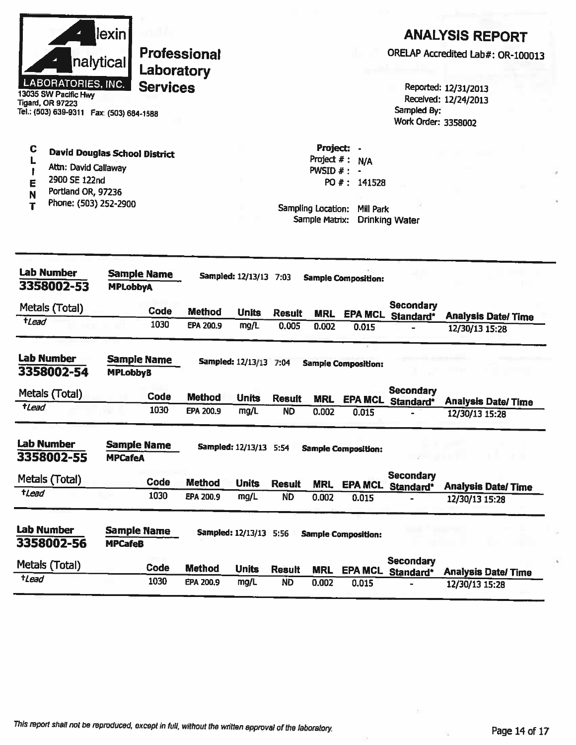| llexinl           |
|-------------------|
| nalytical         |
| ABORATORIES, INC. |

 $\mathbf C$ 

 $\mathbf L$ 

 $\mathbf{I}$ 

É

N

 $\overline{\mathbf{r}}$ 

**Professional** Laboratory **Services** 

13035 SW Pacific Hwy **Tigard, OR 97223** Tel.: (503) 639-9311 Fax: (503) 684-1588

Attn: David Callaway

Portland OR, 97236

Phone: (503) 252-2900

2900 SE 122nd

**David Douglas School District** 

### **ANALYSIS REPORT**

ORELAP Accredited Lab#: OR-100013

Reported: 12/31/2013 Received: 12/24/2013 Sampled By: Work Order: 3358002

Project: -Project  $# : N/A$ PWSID  $# : -$ PO #: 141528

Sampling Location: Mill Park Sample Matrix: Drinking Water

| <b>Lab Number</b><br><b>Sample Name</b><br>3358002-53<br><b>MPLobbyA</b> |                                      |  |               | Sampled: 12/13/13 7:03   |               |            | <b>Sample Composition:</b> |                               |                |                            |
|--------------------------------------------------------------------------|--------------------------------------|--|---------------|--------------------------|---------------|------------|----------------------------|-------------------------------|----------------|----------------------------|
| Metals (Total)                                                           | Code                                 |  | <b>Method</b> | <b>Units</b>             | <b>Result</b> | <b>MRL</b> | <b>EPA MCL</b>             | <b>Secondary</b><br>Standard* |                | <b>Analysis Date/Time</b>  |
| tLead                                                                    | 1030                                 |  | EPA 200.9     | mg/L                     | 0.005         | 0.002      | 0.015                      |                               | 12/30/13 15:28 |                            |
| <b>Lab Number</b><br>3358002-54                                          | Sample Name<br><b>MPLobbyB</b>       |  |               | <b>Sampled: 12/13/13</b> | 7:04          |            | <b>Sample Composition:</b> |                               |                |                            |
| Metals (Total)                                                           | Code                                 |  | <b>Method</b> | <b>Units</b>             | <b>Result</b> | <b>MRL</b> | <b>EPA MCL</b>             | <b>Secondary</b><br>Standard* |                | <b>Analysis Date/ Time</b> |
| <b>tLead</b>                                                             | 1030                                 |  | EPA 200.9     | mg/L                     | <b>ND</b>     | 0.002      | 0.015                      |                               | 12/30/13 15:28 |                            |
| <b>Lab Number</b><br>3358002-55                                          | <b>Sample Name</b><br><b>MPCafeA</b> |  |               | Sampled: 12/13/13 5:54   |               |            | <b>Sample Composition:</b> |                               |                |                            |
| Metals (Total)                                                           | Code                                 |  | <b>Method</b> | <b>Units</b>             | <b>Result</b> | <b>MRL</b> | <b>EPA MCL</b>             | <b>Secondary</b><br>Standard* |                | <b>Analysis Date/ Time</b> |
| tLead                                                                    | 1030                                 |  | EPA 200.9     | mg/L                     | <b>ND</b>     | 0.002      | 0.015                      |                               | 12/30/13 15:28 |                            |
| <b>Lab Number</b><br>3358002-56                                          | <b>Sample Name</b><br><b>MPCafeB</b> |  |               | Sampled: 12/13/13 5:56   |               |            | <b>Sample Composition:</b> |                               |                |                            |
| Metals (Total)                                                           | Code                                 |  | <b>Method</b> | <b>Units</b>             | <b>Result</b> | <b>MRL</b> | <b>EPA MCL</b>             | <b>Secondary</b><br>Standard* |                | <b>Analysis Date/Time</b>  |
| <b>tLead</b>                                                             | 1030                                 |  | EPA 200.9     | mg/L                     | <b>ND</b>     | 0.002      | 0.015                      |                               | 12/30/13 15:28 |                            |

This report shall not be reproduced, except in full, without the written approval of the laboratory.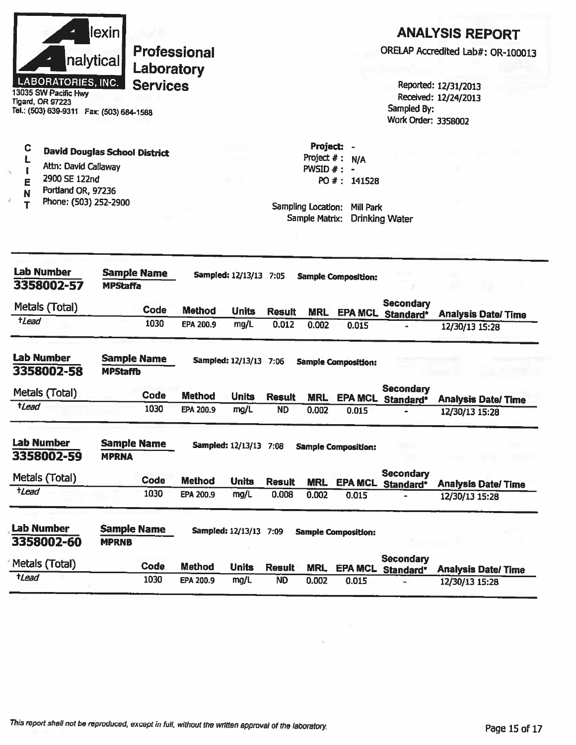|                       | nalytical<br><b>LABORATORIES, INC.</b><br>13035 SW Pacific Hwy<br><b>Tigard, OR 97223</b><br>Tel.: (503) 639-9311  Fax: (503) 684-1588 | lexin                                 | Professional<br>Laboratory<br><b>Services</b> |               |                        |               |                                                                                   |                                                    | Sampled By:<br>Work Order: 3358002 | <b>ANALYSIS REPORT</b><br>ORELAP Accredited Lab#: OR-100013<br>Reported: 12/31/2013<br>Received: 12/24/2013 |
|-----------------------|----------------------------------------------------------------------------------------------------------------------------------------|---------------------------------------|-----------------------------------------------|---------------|------------------------|---------------|-----------------------------------------------------------------------------------|----------------------------------------------------|------------------------------------|-------------------------------------------------------------------------------------------------------------|
| C<br>L<br>E<br>N<br>т | <b>David Douglas School District</b><br>Attn: David Callaway<br>2900 SE 122nd<br>Portland OR, 97236<br>Phone: (503) 252-2900           |                                       |                                               |               |                        |               | Project:<br>Project $#$ :<br>$PWSID \#$ :<br>Sampling Location:<br>Sample Matrix: | N/A<br>$\blacksquare$<br>PO #: 141528<br>Mill Park | <b>Drinking Water</b>              |                                                                                                             |
|                       | <b>Lab Number</b><br>3358002-57                                                                                                        | <b>MPStaffa</b>                       | <b>Sample Name</b>                            |               | Sampled: 12/13/13 7:05 |               |                                                                                   | <b>Sample Composition:</b>                         |                                    |                                                                                                             |
|                       | Metals (Total)                                                                                                                         |                                       | Code                                          | <b>Method</b> | <b>Units</b>           | <b>Result</b> | <b>MRL</b>                                                                        | <b>EPA MCL</b>                                     | <b>Secondary</b><br>Standard*      | <b>Analysis Date/Time</b>                                                                                   |
| $t$ Lead              |                                                                                                                                        |                                       | 1030                                          | EPA 200.9     | mg/L                   | 0.012         | 0.002                                                                             | 0.015                                              |                                    | 12/30/13 15:28                                                                                              |
|                       | <b>Lab Number</b><br>3358002-58                                                                                                        | <b>Sample Name</b><br><b>MPStaffb</b> |                                               |               | Sampled: 12/13/13 7:06 |               |                                                                                   | <b>Sample Composition:</b>                         |                                    |                                                                                                             |
|                       | Metals (Total)                                                                                                                         |                                       | Code                                          | <b>Method</b> | <b>Units</b>           | <b>Result</b> | <b>MRL</b>                                                                        | <b>EPA MCL</b>                                     | <b>Secondary</b><br>Standard*      | <b>Analysis Date/Time</b>                                                                                   |
| tLead                 |                                                                                                                                        |                                       | 1030                                          | EPA 200.9     | mg/L                   | <b>ND</b>     | 0.002                                                                             | 0.015                                              |                                    | 12/30/13 15:28                                                                                              |
|                       | <b>Lab Number</b><br>3358002-59                                                                                                        | <b>Sample Name</b><br><b>MPRNA</b>    |                                               |               | Sampled: 12/13/13 7:08 |               |                                                                                   | <b>Sample Composition:</b>                         |                                    |                                                                                                             |
|                       | Metals (Total)                                                                                                                         |                                       | <b>Code</b>                                   | <b>Method</b> | <b>Units</b>           | <b>Result</b> | <b>MRL</b>                                                                        | <b>EPA MCL</b>                                     | <b>Secondary</b>                   |                                                                                                             |
| $t$ <i>Lead</i>       |                                                                                                                                        |                                       | 1030                                          | EPA 200.9     | mg/L                   | 0.008         | 0.002                                                                             | 0.015                                              | Standard*                          | <b>Analysis Date/Time</b><br>12/30/13 15:28                                                                 |
|                       | <b>Lab Number</b><br>3358002-60                                                                                                        | <b>Sample Name</b><br><b>MPRNB</b>    |                                               |               | Sampled: 12/13/13 7:09 |               |                                                                                   | <b>Sample Composition:</b>                         |                                    |                                                                                                             |
|                       |                                                                                                                                        |                                       |                                               |               |                        |               |                                                                                   |                                                    | <b>Secondary</b>                   |                                                                                                             |
| tLead                 | Metals (Total)                                                                                                                         |                                       | Code                                          | <b>Method</b> | <b>Units</b>           | <b>Result</b> | <b>MRL</b>                                                                        | <b>EPA MCL</b>                                     | Standard*                          | <b>Analysis Date/Time</b>                                                                                   |

 $\widetilde{\alpha}$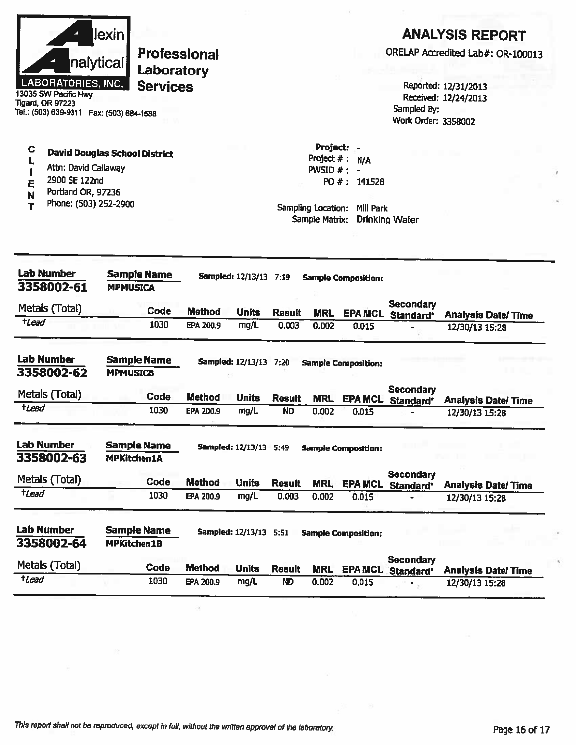|                  | nalytical<br><b>LABORATORIES, INC.</b><br>13035 SW Pacific Hwy<br>Tigard, OR 97223<br>Tel.: (503) 639-9311    Fax: (503) 684-1588 | lexin                                    | <b>Professional</b><br>Laboratory<br><b>Services</b> |               |                               |               |                                                                               |                                               | Sampled By:<br>Work Order: 3358002    | <b>ANALYSIS REPORT</b><br>ORELAP Accredited Lab#: OR-100013<br>Reported: 12/31/2013<br>Received: 12/24/2013 |  |
|------------------|-----------------------------------------------------------------------------------------------------------------------------------|------------------------------------------|------------------------------------------------------|---------------|-------------------------------|---------------|-------------------------------------------------------------------------------|-----------------------------------------------|---------------------------------------|-------------------------------------------------------------------------------------------------------------|--|
| C<br>L<br>E<br>N | <b>David Douglas School District</b><br>Attn: David Callaway<br>2900 SE 122nd<br>Portland OR, 97236<br>Phone: (503) 252-2900      |                                          |                                                      |               |                               |               | Project:<br>Project #:<br>PWSID $#$ :<br>Sampling Location:<br>Sample Matrix: | N/A<br>$\bullet$<br>PO #: 141528<br>Mill Park | <b>Drinking Water</b>                 |                                                                                                             |  |
|                  | <b>Lab Number</b><br>3358002-61                                                                                                   | <b>MPMUSICA</b>                          | <b>Sample Name</b>                                   |               | Sampled: 12/13/13 7:19        |               |                                                                               | <b>Sample Composition:</b>                    |                                       |                                                                                                             |  |
| $t$ <i>Lead</i>  | Metals (Total)                                                                                                                    |                                          | Code<br>1030                                         | <b>Method</b> | <b>Units</b>                  | <b>Result</b> | <b>MRL</b>                                                                    |                                               | <b>Secondary</b><br>EPA MCL Standard* | <b>Analysis Date/Time</b>                                                                                   |  |
|                  |                                                                                                                                   |                                          |                                                      | EPA 200.9     | mg/L                          | 0.003         | 0.002                                                                         | 0.015                                         |                                       | 12/30/13 15:28                                                                                              |  |
|                  | <b>Lab Number</b><br>3358002-62                                                                                                   | <b>MPMUSICB</b>                          | <b>Sample Name</b>                                   |               | Sampled: 12/13/13 7:20        |               |                                                                               | <b>Sample Composition:</b>                    |                                       |                                                                                                             |  |
|                  | Metals (Total)                                                                                                                    |                                          | <b>Code</b>                                          | <b>Method</b> | <b>Units</b>                  | <b>Result</b> | <b>MRL</b>                                                                    | <b>EPA MCL</b>                                | <b>Secondary</b><br>Standard*         | <b>Analysis Date/Time</b>                                                                                   |  |
| $t$ Lead         |                                                                                                                                   |                                          | 1030                                                 | EPA 200.9     | mg/L                          | <b>ND</b>     | 0.002                                                                         | 0.015                                         |                                       | 12/30/13 15:28                                                                                              |  |
|                  | <b>Lab Number</b><br>3358002-63                                                                                                   | <b>MPKitchen1A</b>                       | <b>Sample Name</b>                                   |               | <b>Sampled: 12/13/13 5:49</b> |               |                                                                               | <b>Sample Composition:</b>                    |                                       |                                                                                                             |  |
|                  | Metals (Total)                                                                                                                    |                                          | Code                                                 | <b>Method</b> | <b>Units</b>                  | <b>Result</b> | <b>MRL</b>                                                                    | <b>EPA MCL</b>                                | <b>Secondary</b>                      |                                                                                                             |  |
| $t$ <i>Lead</i>  |                                                                                                                                   |                                          | 1030                                                 | EPA 200.9     | mg/L                          | 0.003         | 0.002                                                                         | 0.015                                         | Standard*                             | <b>Analysis Date/Time</b><br>12/30/13 15:28                                                                 |  |
|                  | <b>Lab Number</b><br>3358002-64                                                                                                   | <b>Sample Name</b><br><b>MPKitchen1B</b> |                                                      |               | <b>Sampled: 12/13/13 5:51</b> |               |                                                                               | <b>Sample Composition:</b>                    |                                       |                                                                                                             |  |
|                  | Metals (Total)                                                                                                                    |                                          | Code                                                 | <b>Method</b> | <b>Units</b>                  | <b>Result</b> | <b>MRL</b>                                                                    | <b>EPA MCL</b>                                | <b>Secondary</b><br>Standard*         | <b>Analysis Date/Time</b>                                                                                   |  |
| $t$ Lead         |                                                                                                                                   |                                          | 1030                                                 | EPA 200.9     | mg/L                          | <b>ND</b>     | 0.002                                                                         | 0.015                                         | $\blacksquare$                        | 12/30/13 15:28                                                                                              |  |

 $\pm 0$ 

 $\mathcal{A}$